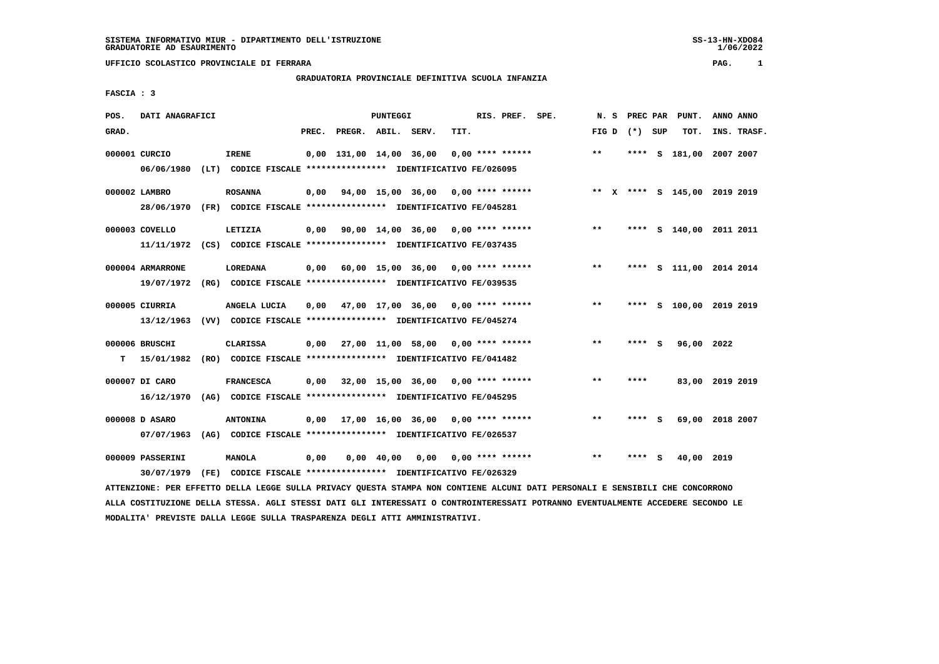**UFFICIO SCOLASTICO PROVINCIALE DI FERRARA PAG. 1**

## **GRADUATORIA PROVINCIALE DEFINITIVA SCUOLA INFANZIA**

 **FASCIA : 3**

| POS.  | DATI ANAGRAFICI                |  |                                                                                |       | PUNTEGGI                |                    |                                      |      | RIS. PREF.<br>SPE. |                    |  | N.S          | PREC PAR |          | PUNT.      | ANNO ANNO                    |
|-------|--------------------------------|--|--------------------------------------------------------------------------------|-------|-------------------------|--------------------|--------------------------------------|------|--------------------|--------------------|--|--------------|----------|----------|------------|------------------------------|
| GRAD. |                                |  |                                                                                | PREC. | PREGR. ABIL. SERV.      |                    |                                      | TIT. |                    |                    |  | FIG D        | (*) SUP  |          | TOT.       | INS. TRASF.                  |
|       | 000001 CURCIO                  |  | <b>IRENE</b>                                                                   |       | 0,00 131,00 14,00 36,00 |                    |                                      |      |                    | $0,00$ **** ****** |  | $***$        | ****     | <b>S</b> | 181,00     | 2007 2007                    |
|       | 06/06/1980                     |  | (LT) CODICE FISCALE **************** IDENTIFICATIVO FE/026095                  |       |                         |                    |                                      |      |                    |                    |  |              |          |          |            |                              |
|       | 000002 LAMBRO                  |  | <b>ROSANNA</b>                                                                 | 0,00  |                         |                    | 94,00 15,00 36,00 0,00 **** ******   |      |                    |                    |  |              |          |          |            | ** X **** S 145,00 2019 2019 |
|       | 28/06/1970                     |  | (FR) CODICE FISCALE **************** IDENTIFICATIVO FE/045281                  |       |                         |                    |                                      |      |                    |                    |  |              |          |          |            |                              |
|       | 000003 COVELLO                 |  | LETIZIA                                                                        | 0,00  |                         |                    | 90,00 14,00 36,00 0,00 **** ******   |      |                    |                    |  | $* *$        |          |          |            | **** S 140,00 2011 2011      |
|       |                                |  | 11/11/1972 (CS) CODICE FISCALE *************** IDENTIFICATIVO FE/037435        |       |                         |                    |                                      |      |                    |                    |  |              |          |          |            |                              |
|       | 000004 ARMARRONE               |  | LOREDANA                                                                       | 0,00  |                         |                    | 60,00 15,00 36,00 0,00 **** ******   |      |                    |                    |  | $***$        |          |          |            | **** S 111,00 2014 2014      |
|       | 19/07/1972                     |  | (RG) CODICE FISCALE **************** IDENTIFICATIVO FE/039535                  |       |                         |                    |                                      |      |                    |                    |  |              |          |          |            |                              |
|       | 000005 CIURRIA                 |  | ANGELA LUCIA                                                                   | 0,00  |                         |                    | 47,00 17,00 36,00 0,00 **** ******   |      |                    |                    |  | $\star\star$ | ****     |          |            | S 100,00 2019 2019           |
|       | 13/12/1963                     |  | (VV) CODICE FISCALE **************** IDENTIFICATIVO FE/045274                  |       |                         |                    |                                      |      |                    |                    |  |              |          |          |            |                              |
|       | 000006 BRUSCHI                 |  | CLARISSA                                                                       | 0.00  |                         |                    | 27,00 11,00 58,00 0,00 **** ******   |      |                    |                    |  | $***$        | **** S   |          | 96,00 2022 |                              |
| т     | 15/01/1982                     |  | (RO) CODICE FISCALE **************** IDENTIFICATIVO FE/041482                  |       |                         |                    |                                      |      |                    |                    |  |              |          |          |            |                              |
|       | 000007 DI CARO                 |  | <b>FRANCESCA</b>                                                               | 0,00  |                         |                    | $32,00$ 15,00 36,00 0,00 **** ****** |      |                    |                    |  | $***$        | ****     |          |            | 83,00 2019 2019              |
|       | 16/12/1970                     |  | (AG) CODICE FISCALE **************** IDENTIFICATIVO FE/045295                  |       |                         |                    |                                      |      |                    |                    |  |              |          |          |            |                              |
|       | 000008 D ASARO                 |  | <b>ANTONINA</b>                                                                | 0,00  |                         |                    | 17,00 16,00 36,00 0,00 **** ******   |      |                    |                    |  | $* *$        | **** S   |          | 69,00      | 2018 2007                    |
|       | 07/07/1963                     |  | (AG) CODICE FISCALE **************** IDENTIFICATIVO FE/026537                  |       |                         |                    |                                      |      |                    |                    |  |              |          |          |            |                              |
|       | 000009 PASSERINI<br>30/07/1979 |  | <b>MANOLA</b><br>(FE) CODICE FISCALE **************** IDENTIFICATIVO FE/026329 | 0,00  |                         | $0,00 \quad 40,00$ | 0,00                                 |      |                    | $0.00$ **** ****** |  | $* *$        |          | s        | 40,00      | 2019                         |
|       |                                |  |                                                                                |       |                         |                    |                                      |      |                    |                    |  |              |          |          |            |                              |

 **ATTENZIONE: PER EFFETTO DELLA LEGGE SULLA PRIVACY QUESTA STAMPA NON CONTIENE ALCUNI DATI PERSONALI E SENSIBILI CHE CONCORRONO ALLA COSTITUZIONE DELLA STESSA. AGLI STESSI DATI GLI INTERESSATI O CONTROINTERESSATI POTRANNO EVENTUALMENTE ACCEDERE SECONDO LE MODALITA' PREVISTE DALLA LEGGE SULLA TRASPARENZA DEGLI ATTI AMMINISTRATIVI.**

1/06/2022